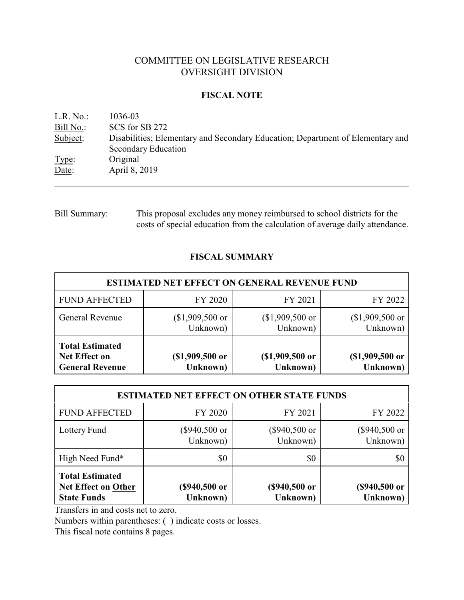# COMMITTEE ON LEGISLATIVE RESEARCH OVERSIGHT DIVISION

### **FISCAL NOTE**

| L.R. No.: | 1036-03                                                                        |
|-----------|--------------------------------------------------------------------------------|
| Bill No.: | SCS for SB 272                                                                 |
| Subject:  | Disabilities; Elementary and Secondary Education; Department of Elementary and |
|           | Secondary Education                                                            |
| Type:     | Original                                                                       |
| Date:     | April 8, 2019                                                                  |
|           |                                                                                |

# Bill Summary: This proposal excludes any money reimbursed to school districts for the costs of special education from the calculation of average daily attendance.

## **FISCAL SUMMARY**

|                                                                   |                              | <b>ESTIMATED NET EFFECT ON GENERAL REVENUE FUND</b> |                              |
|-------------------------------------------------------------------|------------------------------|-----------------------------------------------------|------------------------------|
| <b>FUND AFFECTED</b>                                              | FY 2020                      | FY 2021                                             | FY 2022                      |
| General Revenue                                                   | $($1,909,500$ or<br>Unknown) | $$1,909,500$ or<br>Unknown)                         | $($1,909,500$ or<br>Unknown) |
| <b>Total Estimated</b><br>Net Effect on<br><b>General Revenue</b> | $($1,909,500$ or<br>Unknown) | (\$1,909,500 or<br>Unknown)                         | $($1,909,500$ or<br>Unknown) |

|                                                                     | <b>ESTIMATED NET EFFECT ON OTHER STATE FUNDS</b> |                             |                           |
|---------------------------------------------------------------------|--------------------------------------------------|-----------------------------|---------------------------|
| <b>FUND AFFECTED</b>                                                | FY 2020                                          | FY 2021                     | FY 2022                   |
| Lottery Fund                                                        | (\$940,500 or<br>Unknown)                        | $(\$940,500$ or<br>Unknown) | (\$940,500 or<br>Unknown) |
| High Need Fund*                                                     | \$0                                              | \$0                         | \$0                       |
| <b>Total Estimated</b><br>Net Effect on Other<br><b>State Funds</b> | (\$940,500 or<br>Unknown)                        | (\$940,500 or<br>Unknown)   | (\$940,500 or<br>Unknown) |

Transfers in and costs net to zero.

Numbers within parentheses: ( ) indicate costs or losses.

This fiscal note contains 8 pages.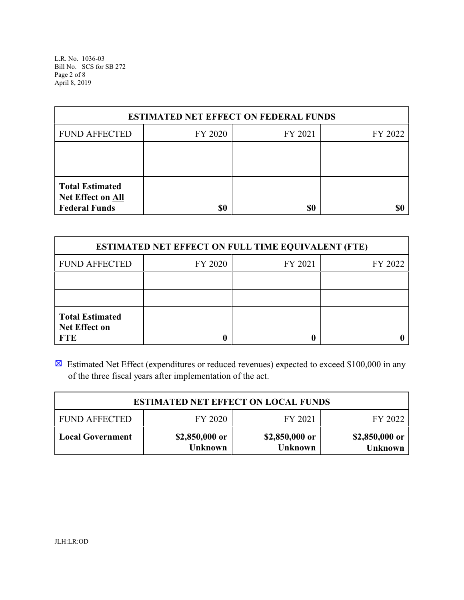L.R. No. 1036-03 Bill No. SCS for SB 272 Page 2 of 8 April 8, 2019

| <b>ESTIMATED NET EFFECT ON FEDERAL FUNDS</b>                        |         |         |         |  |  |
|---------------------------------------------------------------------|---------|---------|---------|--|--|
| <b>FUND AFFECTED</b>                                                | FY 2020 | FY 2021 | FY 2022 |  |  |
|                                                                     |         |         |         |  |  |
|                                                                     |         |         |         |  |  |
| <b>Total Estimated</b><br>Net Effect on All<br><b>Federal Funds</b> | \$0     | \$0     |         |  |  |

| <b>ESTIMATED NET EFFECT ON FULL TIME EQUIVALENT (FTE)</b>    |         |         |         |  |  |  |
|--------------------------------------------------------------|---------|---------|---------|--|--|--|
| <b>FUND AFFECTED</b>                                         | FY 2020 | FY 2021 | FY 2022 |  |  |  |
|                                                              |         |         |         |  |  |  |
|                                                              |         |         |         |  |  |  |
| <b>Total Estimated</b><br><b>Net Effect on</b><br><b>FTE</b> |         |         |         |  |  |  |

**Estimated Net Effect (expenditures or reduced revenues) expected to exceed \$100,000 in any** of the three fiscal years after implementation of the act.

|                         | <b>ESTIMATED NET EFFECT ON LOCAL FUNDS</b> |                           |                                  |
|-------------------------|--------------------------------------------|---------------------------|----------------------------------|
| <b>FUND AFFECTED</b>    | FY 2020                                    | FY 2021                   | FY 2022                          |
| <b>Local Government</b> | \$2,850,000 or<br><b>Unknown</b>           | \$2,850,000 or<br>Unknown | \$2,850,000 or<br><b>Unknown</b> |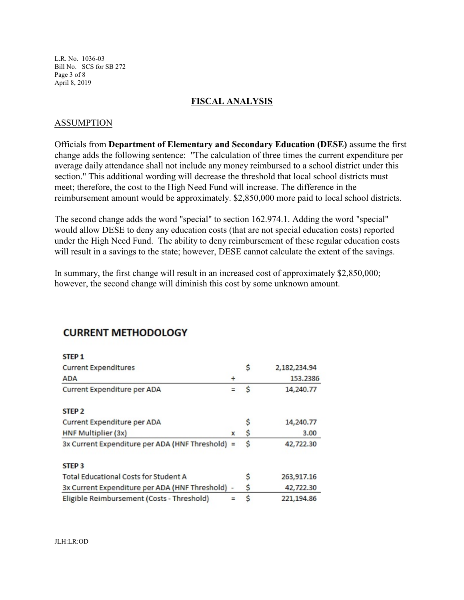L.R. No. 1036-03 Bill No. SCS for SB 272 Page 3 of 8 April 8, 2019

### **FISCAL ANALYSIS**

### ASSUMPTION

Officials from **Department of Elementary and Secondary Education (DESE)** assume the first change adds the following sentence: "The calculation of three times the current expenditure per average daily attendance shall not include any money reimbursed to a school district under this section." This additional wording will decrease the threshold that local school districts must meet; therefore, the cost to the High Need Fund will increase. The difference in the reimbursement amount would be approximately. \$2,850,000 more paid to local school districts.

The second change adds the word "special" to section 162.974.1. Adding the word "special" would allow DESE to deny any education costs (that are not special education costs) reported under the High Need Fund. The ability to deny reimbursement of these regular education costs will result in a savings to the state; however, DESE cannot calculate the extent of the savings.

In summary, the first change will result in an increased cost of approximately \$2,850,000; however, the second change will diminish this cost by some unknown amount.

| STEP 1                                           |   |   |              |
|--------------------------------------------------|---|---|--------------|
| <b>Current Expenditures</b>                      |   | s | 2,182,234.94 |
| <b>ADA</b>                                       | ÷ |   | 153.2386     |
| Current Expenditure per ADA                      |   | S | 14,240.77    |
| STEP <sub>2</sub>                                |   |   |              |
| Current Expenditure per ADA                      |   |   | 14,240.77    |
| HNF Multiplier (3x)                              | x | S | 3.00         |
| 3x Current Expenditure per ADA (HNF Threshold)   |   | Ś | 42,722.30    |
| STEP <sub>3</sub>                                |   |   |              |
| <b>Total Educational Costs for Student A</b>     |   | s | 263,917.16   |
| 3x Current Expenditure per ADA (HNF Threshold) - |   | S | 42,722.30    |
| Eligible Reimbursement (Costs - Threshold)       |   | Ŝ | 221,194.86   |

# **CURRENT METHODOLOGY**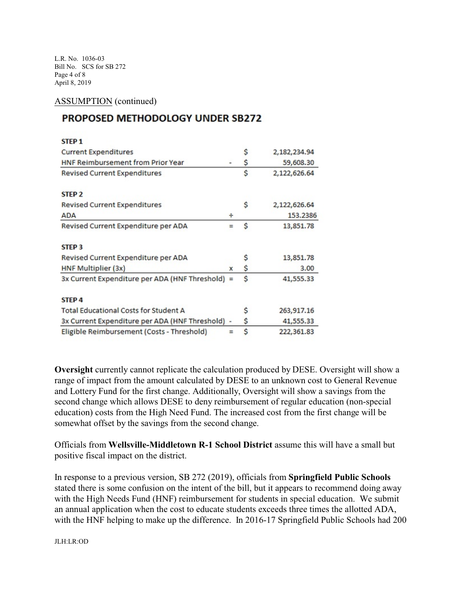L.R. No. 1036-03 Bill No. SCS for SB 272 Page 4 of 8 April 8, 2019

#### ASSUMPTION (continued)

# **PROPOSED METHODOLOGY UNDER SB272**

|                                                  | \$ | 2,182,234.94 |
|--------------------------------------------------|----|--------------|
|                                                  | \$ | 59,608.30    |
|                                                  | Ś  | 2,122,626.64 |
|                                                  |    |              |
|                                                  | Ŝ  | 2,122,626.64 |
| ÷                                                |    | 153.2386     |
|                                                  | \$ | 13,851.78    |
|                                                  |    |              |
|                                                  | S  | 13,851.78    |
| x                                                | \$ | 3.00         |
| 3x Current Expenditure per ADA (HNF Threshold) = | Ŝ  | 41,555.33    |
|                                                  |    |              |
|                                                  | s  | 263,917.16   |
| 3x Current Expenditure per ADA (HNF Threshold) - | \$ | 41,555.33    |
|                                                  | Ś  | 222,361.83   |
|                                                  |    |              |

**Oversight** currently cannot replicate the calculation produced by DESE. Oversight will show a range of impact from the amount calculated by DESE to an unknown cost to General Revenue and Lottery Fund for the first change. Additionally, Oversight will show a savings from the second change which allows DESE to deny reimbursement of regular education (non-special education) costs from the High Need Fund. The increased cost from the first change will be somewhat offset by the savings from the second change.

Officials from **Wellsville-Middletown R-1 School District** assume this will have a small but positive fiscal impact on the district.

In response to a previous version, SB 272 (2019), officials from **Springfield Public Schools** stated there is some confusion on the intent of the bill, but it appears to recommend doing away with the High Needs Fund (HNF) reimbursement for students in special education. We submit an annual application when the cost to educate students exceeds three times the allotted ADA, with the HNF helping to make up the difference. In 2016-17 Springfield Public Schools had 200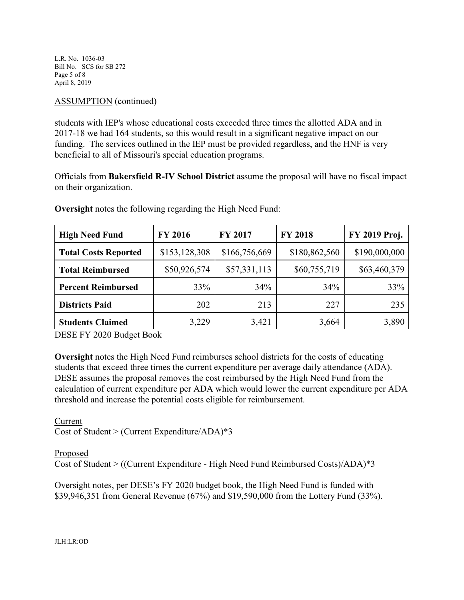L.R. No. 1036-03 Bill No. SCS for SB 272 Page 5 of 8 April 8, 2019

### ASSUMPTION (continued)

students with IEP's whose educational costs exceeded three times the allotted ADA and in 2017-18 we had 164 students, so this would result in a significant negative impact on our funding. The services outlined in the IEP must be provided regardless, and the HNF is very beneficial to all of Missouri's special education programs.

Officials from **Bakersfield R-IV School District** assume the proposal will have no fiscal impact on their organization.

| <b>High Need Fund</b>       | <b>FY 2016</b> | FY 2017       | <b>FY 2018</b> | FY 2019 Proj. |
|-----------------------------|----------------|---------------|----------------|---------------|
| <b>Total Costs Reported</b> | \$153,128,308  | \$166,756,669 | \$180,862,560  | \$190,000,000 |
| <b>Total Reimbursed</b>     | \$50,926,574   | \$57,331,113  | \$60,755,719   | \$63,460,379  |
| <b>Percent Reimbursed</b>   | 33%            | 34%           | 34%            | 33%           |
| <b>Districts Paid</b>       | 202            | 213           | 227            | 235           |
| <b>Students Claimed</b>     | 3,229          | 3,421         | 3,664          | 3,890         |

**Oversight** notes the following regarding the High Need Fund:

DESE FY 2020 Budget Book

**Oversight** notes the High Need Fund reimburses school districts for the costs of educating students that exceed three times the current expenditure per average daily attendance (ADA). DESE assumes the proposal removes the cost reimbursed by the High Need Fund from the calculation of current expenditure per ADA which would lower the current expenditure per ADA threshold and increase the potential costs eligible for reimbursement.

Current Cost of Student > (Current Expenditure/ADA)\*3

Proposed Cost of Student > ((Current Expenditure - High Need Fund Reimbursed Costs)/ADA)\*3

Oversight notes, per DESE's FY 2020 budget book, the High Need Fund is funded with \$39,946,351 from General Revenue (67%) and \$19,590,000 from the Lottery Fund (33%).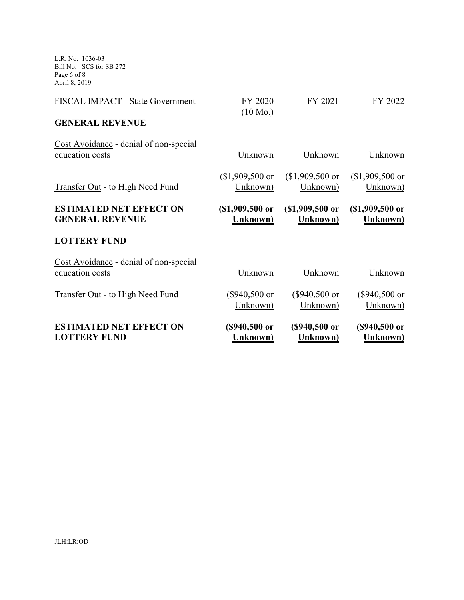L.R. No. 1036-03 Bill No. SCS for SB 272 Page 6 of 8 April 8, 2019

| <b>ESTIMATED NET EFFECT ON</b><br><b>LOTTERY FUND</b>     | (\$940,500 or<br>Unknown)     | (\$940,500 or<br><b>Unknown</b> ) | (\$940,500 or<br><b>Unknown</b> )   |
|-----------------------------------------------------------|-------------------------------|-----------------------------------|-------------------------------------|
| Transfer Out - to High Need Fund                          | $(\$940,500$ or<br>Unknown)   | $($940,500$ or<br>Unknown)        | $($940,500$ or<br>Unknown)          |
| Cost Avoidance - denial of non-special<br>education costs | Unknown                       | Unknown                           | Unknown                             |
| <b>LOTTERY FUND</b>                                       |                               |                                   |                                     |
| <b>ESTIMATED NET EFFECT ON</b><br><b>GENERAL REVENUE</b>  | (\$1,909,500 or<br>Unknown)   | $$1,909,500$ or<br>Unknown)       | $$1,909,500$ or<br><b>Unknown</b> ) |
| Transfer Out - to High Need Fund                          | $$1,909,500$ or<br>Unknown)   | $$1,909,500$ or<br>Unknown)       | $$1,909,500$ or<br>Unknown)         |
| Cost Avoidance - denial of non-special<br>education costs | Unknown                       | Unknown                           | Unknown                             |
| <b>GENERAL REVENUE</b>                                    |                               |                                   |                                     |
| FISCAL IMPACT - State Government                          | FY 2020<br>$(10 \text{ Mo.})$ | FY 2021                           | FY 2022                             |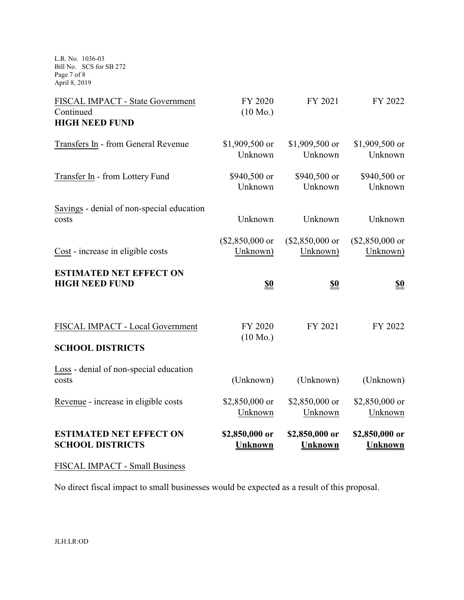L.R. No. 1036-03 Bill No. SCS for SB 272 Page 7 of 8 April 8, 2019

| FISCAL IMPACT - State Government<br>Continued<br><b>HIGH NEED FUND</b> | FY 2020<br>$(10 \text{ Mo.})$ | FY 2021                      | FY 2022                      |
|------------------------------------------------------------------------|-------------------------------|------------------------------|------------------------------|
| Transfers In - from General Revenue                                    | \$1,909,500 or<br>Unknown     | \$1,909,500 or<br>Unknown    | \$1,909,500 or<br>Unknown    |
| Transfer In - from Lottery Fund                                        | \$940,500 or<br>Unknown       | \$940,500 or<br>Unknown      | \$940,500 or<br>Unknown      |
| Savings - denial of non-special education<br>costs                     | Unknown                       | Unknown                      | Unknown                      |
| Cost - increase in eligible costs                                      | $($2,850,000$ or<br>Unknown)  | $($2,850,000$ or<br>Unknown) | $($2,850,000$ or<br>Unknown) |
| <b>ESTIMATED NET EFFECT ON</b><br><b>HIGH NEED FUND</b>                | <u>\$0</u>                    | <u>\$0</u>                   | <u>\$0</u>                   |
| FISCAL IMPACT - Local Government<br><b>SCHOOL DISTRICTS</b>            | FY 2020<br>$(10 \text{ Mo.})$ | FY 2021                      | FY 2022                      |
| Loss - denial of non-special education<br>costs                        | (Unknown)                     | (Unknown)                    | (Unknown)                    |
| Revenue - increase in eligible costs                                   | \$2,850,000 or                | \$2,850,000 or               | \$2,850,000 or<br>Unknown    |
|                                                                        | Unknown                       | Unknown                      |                              |

# FISCAL IMPACT - Small Business

No direct fiscal impact to small businesses would be expected as a result of this proposal.